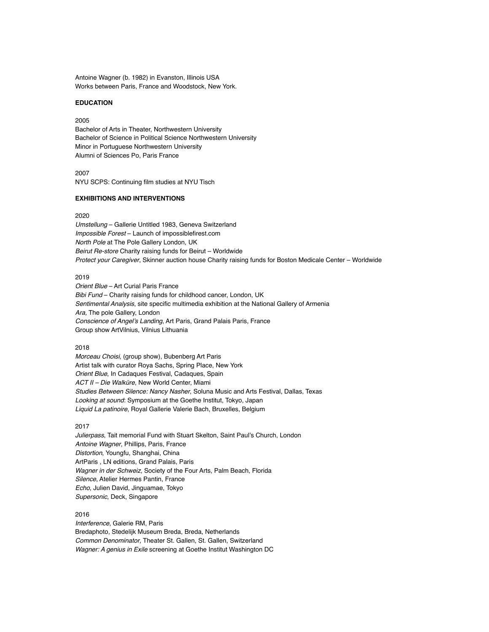Antoine Wagner (b. 1982) in Evanston, Illinois USA Works between Paris, France and Woodstock, New York.

#### **EDUCATION**

2005 Bachelor of Arts in Theater, Northwestern University Bachelor of Science in Political Science Northwestern University Minor in Portuguese Northwestern University Alumni of Sciences Po, Paris France

2007 NYU SCPS: Continuing film studies at NYU Tisch

## **EXHIBITIONS AND INTERVENTIONS**

#### 2020

*Umstellung* – Gallerie Untitled 1983, Geneva Switzerland *Impossible Forest* – Launch of impossiblefirest.com *North Pole* at The Pole Gallery London, UK *Beirut Re-store* Charity raising funds for Beirut – Worldwide *Protect your Caregiver*, Skinner auction house Charity raising funds for Boston Medicale Center – Worldwide

## 2019

*Orient Blue* – Art Curial Paris France *Bibi Fund* – Charity raising funds for childhood cancer, London, UK *Sentimental Analysis*, site specific multimedia exhibition at the National Gallery of Armenia *Ara,* The pole Gallery, London Conscience of Angel's Landing, Art Paris, Grand Palais Paris, France Group show ArtVilnius, Vilnius Lithuania

#### 2018

*Morceau Choisi*, (group show), Bubenberg Art Paris Artist talk with curator Roya Sachs, Spring Place, New York *Orient Blue*, In Cadaques Festival, Cadaques, Spain *ACT II – Die Walküre*, New World Center, Miami *Studies Between Silence: Nancy Nasher*, Soluna Music and Arts Festival, Dallas, Texas Looking at sound: Symposium at the Goethe Institut, Tokyo, Japan Liquid La patinoire, Royal Gallerie Valerie Bach, Bruxelles, Belgium

#### 2017

*Julierpass*, Tait memorial Fund with Stuart Skelton, Saint Paul's Church, London *Antoine Wagner*, Phillips, Paris, France *Distortion*, Youngfu, Shanghai, China ArtParis , LN editions, Grand Palais, Paris *Wagner in der Schweiz*, Society of the Four Arts, Palm Beach, Florida *Silence*, Atelier Hermes Pantin, France *Echo*, Julien David, Jinguamae, Tokyo *Supersonic*, Deck, Singapore

# 2016

*Interference*, Galerie RM, Paris Bredaphoto, Stedelijk Museum Breda, Breda, Netherlands *Common Denominator*, Theater St. Gallen, St. Gallen, Switzerland *Wagner: A genius in Exile* screening at Goethe Institut Washington DC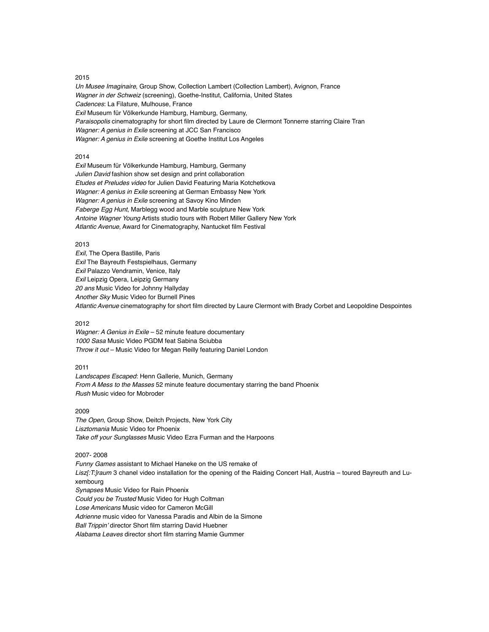### 2015

*Un Musee Imaginaire*, Group Show, Collection Lambert (Collection Lambert), Avignon, France *Wagner in der Schweiz* (screening), Goethe-Institut, California, United States *Cadences*: La Filature, Mulhouse, France *Exil* Museum für Völkerkunde Hamburg, Hamburg, Germany, *Paraisopolis* cinematography for short film directed by Laure de Clermont Tonnerre starring Claire Tran *Wagner: A genius in Exile* screening at JCC San Francisco *Wagner: A genius in Exile* screening at Goethe Institut Los Angeles

### 2014

*Exil* Museum für Völkerkunde Hamburg, Hamburg, Germany *Julien David* fashion show set design and print collaboration *Etudes et Preludes video* for Julien David Featuring Maria Kotchetkova *Wagner: A genius in Exile* screening at German Embassy New York *Wagner: A genius in Exile* screening at Savoy Kino Minden *Faberge Egg Hunt*, Marblegg wood and Marble sculpture New York *Antoine Wagner Young* Artists studio tours with Robert Miller Gallery New York *Atlantic Avenue*, Award for Cinematography, Nantucket film Festival

#### 2013

*Exil*, The Opera Bastille, Paris *Exil* The Bayreuth Festspielhaus, Germany *Exil* Palazzo Vendramin, Venice, Italy *Exil* Leipzig Opera, Leipzig Germany *20 ans* Music Video for Johnny Hallyday *Another Sky* Music Video for Burnell Pines *Atlantic Avenue* cinematography for short film directed by Laure Clermont with Brady Corbet and Leopoldine Despointes

### 2012

*Wagner: A Genius in Exile* – 52 minute feature documentary *1000 Sasa* Music Video PGDM feat Sabina Sciubba *Throw it out* – Music Video for Megan Reilly featuring Daniel London

#### 2011

Landscapes Escaped: Henn Gallerie, Munich, Germany *From A Mess to the Masses* 52 minute feature documentary starring the band Phoenix *Rush* Music video for Mobroder

#### 2009

*The Open*, Group Show, Deitch Projects, New York City Lisztomania Music Video for Phoenix *Take off your Sunglasses* Music Video Ezra Furman and the Harpoons

#### 2007- 2008

*Funny Games* assistant to Michael Haneke on the US remake of Lisz[:T:]raum 3 chanel video installation for the opening of the Raiding Concert Hall, Austria - toured Bayreuth and Luxembourg *Synapses* Music Video for Rain Phoenix *Could you be Trusted* Music Video for Hugh Coltman Lose Americans Music video for Cameron McGill *Adrienne* music video for Vanessa Paradis and Albin de la Simone Ball Trippin' director Short film starring David Huebner Alabama Leaves director short film starring Mamie Gummer